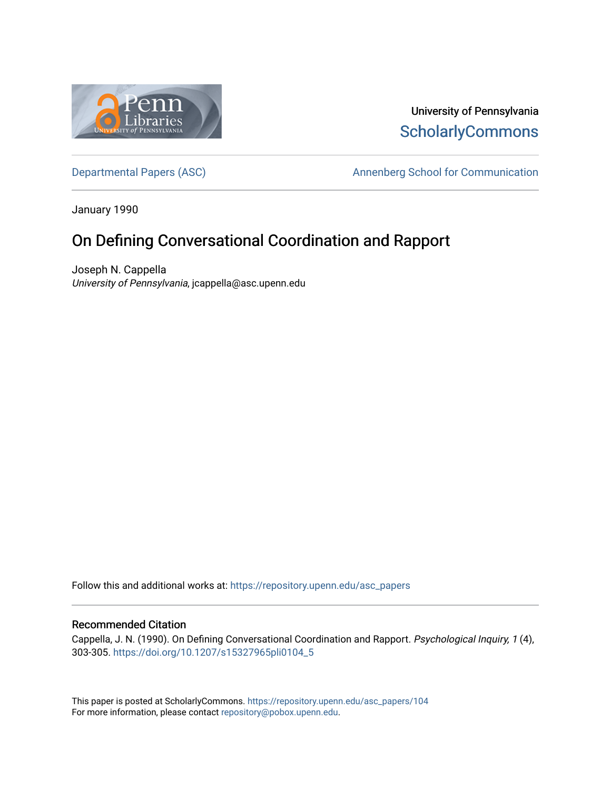

University of Pennsylvania **ScholarlyCommons** 

[Departmental Papers \(ASC\)](https://repository.upenn.edu/asc_papers) and a number of Annenberg School for Communication

January 1990

# On Defining Conversational Coordination and Rapport

Joseph N. Cappella University of Pennsylvania, jcappella@asc.upenn.edu

Follow this and additional works at: [https://repository.upenn.edu/asc\\_papers](https://repository.upenn.edu/asc_papers?utm_source=repository.upenn.edu%2Fasc_papers%2F104&utm_medium=PDF&utm_campaign=PDFCoverPages)

### Recommended Citation

Cappella, J. N. (1990). On Defining Conversational Coordination and Rapport. Psychological Inquiry, 1 (4), 303-305. [https://doi.org/10.1207/s15327965pli0104\\_5](https://doi.org/10.1207/s15327965pli0104_5) 

This paper is posted at ScholarlyCommons. [https://repository.upenn.edu/asc\\_papers/104](https://repository.upenn.edu/asc_papers/104)  For more information, please contact [repository@pobox.upenn.edu.](mailto:repository@pobox.upenn.edu)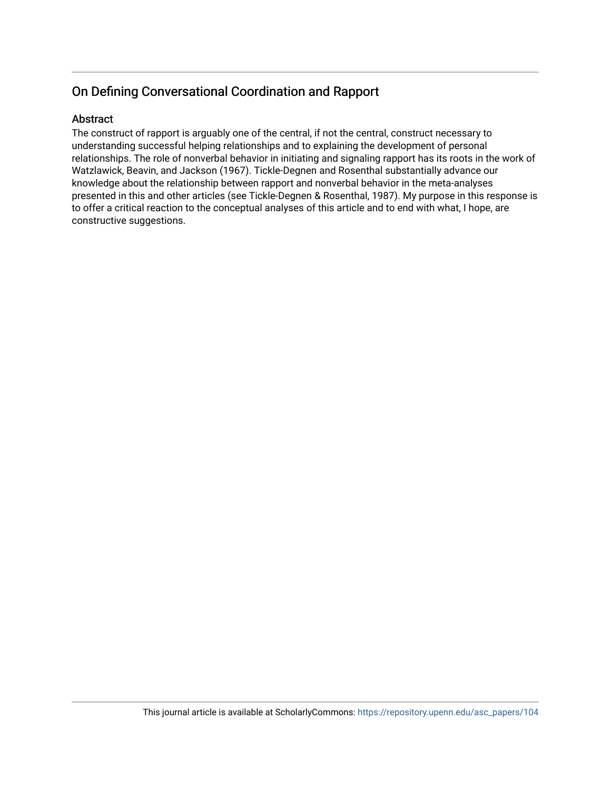## On Defining Conversational Coordination and Rapport

## Abstract

The construct of rapport is arguably one of the central, if not the central, construct necessary to understanding successful helping relationships and to explaining the development of personal relationships. The role of nonverbal behavior in initiating and signaling rapport has its roots in the work of Watzlawick, Beavin, and Jackson (1967). Tickle-Degnen and Rosenthal substantially advance our knowledge about the relationship between rapport and nonverbal behavior in the meta-analyses presented in this and other articles (see Tickle-Degnen & Rosenthal, 1987). My purpose in this response is to offer a critical reaction to the conceptual analyses of this article and to end with what, I hope, are constructive suggestions.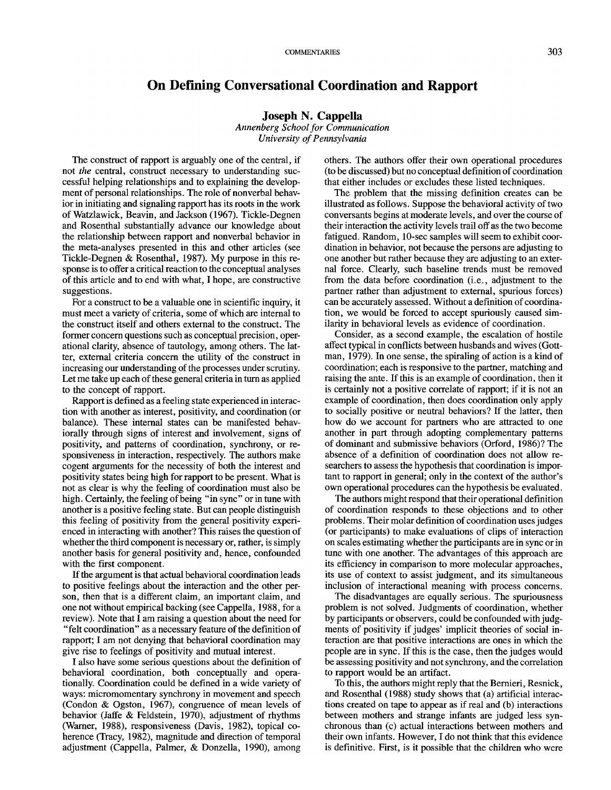#### 303

## **On Defining Conversational Coordination and Rapport**

#### **Joseph N. Cappella**

*Annenberg School for Communication University of Pennsylvania* 

The construct of rapport is arguably one of the central, if not *the* central, construct necessary to understanding successful helping relationships and to explaining the development of personal relationships. The role of nonverbal behavior in initiating and signaling rapport has its roots in the work of Watzlawick, Beavin, and Jackson (1967). Tickle-Degnen and Rosenthal substantially advance our knowledge about the relationship between rapport and nonverbal behavior in the meta-analyses presented in this and other articles (see Tickle-Degnen & Rosenthal, 1987). My purpose in this response is to offer a critical reaction to the conceptual analyses of this article and to end with what, I hope, are constructive suggestions.

For a construct to be a valuable one in scientific inquiry, it must meet a variety of criteria, some of which are internal to the construct itself and others external to the construct. The former concern questions such as conceptual precision, operational clarity, absence of tautology, among others. The latter, external criteria concern the utility of the construct in increasing our understanding of the processes under scrutiny. Let me take up each of these general criteria in turn as applied to the concept of rapport.

Rapport is defined as a feeling state experienced in interaction with another as interest, positivity, and coordination (or balance). These internal states can be manifested behaviorally through signs of interest and involvement, signs of positivity, and patterns of coordination, synchrony, or responsiveness in interaction, respectively. The authors make cogent arguments for the necessity of both the interest and positivity states being high for rapport to be present. What is not as clear is why the feeling of coordination must also be high. Certainly, the feeling of being "in sync" or in tune with another is a positive feeling state. But can people distinguish this feeling of positivity from the general positivity experienced in interacting with another? This raises the question of whether the third component is necessary or, rather, is simply another basis for general positivity and, hence, confounded with the first component.

If the argument is that actual behavioral coordination leads to positive feelings about the interaction and the other person, then that is a different claim, an important claim, and one not without empirical backing (see Cappella, 1988, for a review). Note that I am raising a question about the need for "felt coordination" as a necessary feature of the definition of rapport; I am not denying that behavioral coordination may give rise to feelings of positivity and mutual interest.

I also have some serious questions about the definition of behavioral coordination, both conceptually and operationally. Coordination could be defined in a wide variety of ways: micromomentary synchrony in movement and speech (Condon & Ogston, 1967), congruence of mean levels of behavior (Jaffe & Feldstein, 1970), adjustment of rhythms (Warner, 1988), responsiveness (Davis, 1982), topical coherence (Tracy, 1982), magnitude and direction of temporal adjustment (Cappella, Palmer, & Donzella, 1990), among others. The authors offer their own operational procedures (to be discussed) but no conceptual definition of coordination that either includes or excludes these listed techniques.

The problem that the missing definition creates can be illustrated as follows. Suppose the behavioral activity of two conversants begins at moderate levels, and overthe course of their interaction the activity levels trail off as the two become fatigued. Random, lO-sec samples will seem to exhibit coordination in behavior, not because the persons are adjusting to one another but rather because they are adjusting to an external force. Clearly, such baseline trends must be removed from the data before coordination (i.e., adjustment to the partner rather than adjustment to external, spurious forces) can be accurately assessed. Without a definition of coordination, we would be forced to accept spuriously caused similarity in behavioral levels as evidence of coordination.

Consider, as a second example, the escalation of hostile affect typical in conflicts between husbands and wives (Gottman, 1979). In one sense, the spiraling of action is a kind of coordination; each is responsive to the partner, matching and raising the ante. If this is an example of coordination, then it is certainly not a positive correlate of rapport; if it is not an example of coordination, then does coordination only apply to socially positive or neutral behaviors? If the latter, then how do we account for partners who are attracted to one another in part through adopting complementary patterns of dominant and submissive behaviors (Orford, 1986)? The absence of a definition of coordination does not allow researchers to assess the hypothesis that coordination is important to rapport in general; only in the context of the author's own operational procedures can the hypothesis be evaluated.

The authors might respond that their operational definition of coordination responds to these objections and to other problems. Their molar definition of coordination usesjudges (or participants) to make evaluations of clips of interaction on scales estimating whether the participants are in sync or in tune with one another. The advantages of this approach are its efficiency in comparison to more molecular approaches, its use of context to assist judgment, and its simultaneous inclusion of interactional meaning with process concerns.

The disadvantages are equally serious. The spuriousness problem is not solved. Judgments of coordination, whether by participants or observers, could be confounded with judgments of positivity if judges' implicit theories of social interaction are that positive interactions are ones in which the people are in sync. If this is the case, then the judges would be assessing positivity and not synchrony, and the correlation to rapport would be an artifact.

To this, the authors might reply that the Bernieri, Resnick, and Rosenthal (1988) study shows that (a) artificial interactions created on tape to appear as if real and (b) interactions between mothers and strange infants are judged less synchronous than (c) actual interactions between mothers and their own infants. However, I do not think that this evidence is definitive. First, is it possible that the children who were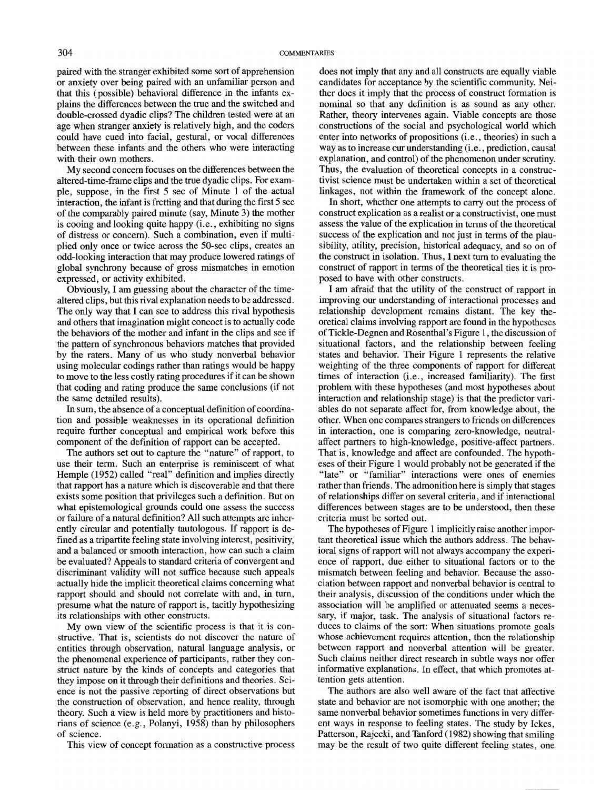paired with the stranger exhibited some sort of apprehension or anxiety over being paired with an unfamiliar person and that this (possible) behavioral difference in the infants explains the differences between the true and the switched and double-crossed dyadic clips? The children tested were at an age when stranger anxiety is relatively high, and the coders could have cued into facial, gestural, or vocal differences between these infants and the others who were interacting with their own mothers.

My second concern focuses on the differences between the altered-time-frame clips and the true dyadic clips. For example, suppose, in the first 5 sec of Minute 1 of the actual interaction, the infant is fretting and that during the first 5 sec of the comparably paired minute (say, Minute 3) the mother is cooing and looking quite happy (i.e., exhibiting no signs of distress or concern). Such a combination, even if multiplied only once or twice across the 50-sec clips, creates an odd-looking interaction that may produce lowered ratings of global synchrony because of gross mismatches in emotion expressed, or activity exhibited.

Obviously, I am guessing about the character of the timealtered clips, but this rival explanation needs to be addressed. The only way that I can see to address this rival hypothesis and others that imagination might concoct is to actually code the behaviors of the mother and infant in the clips and see if the pattern of synchronous behaviors matches that provided by the raters. Many of us who study nonverbal behavior using molecular codings rather than ratings would be happy to move to the less costly rating procedures if it can be shown that coding and rating produce the same conclusions (if not the same detailed results).

In sum, the absence of a conceptual definition of coordination and possible weaknesses in its operational definition require further conceptual and empirical work before this component of the definition of rapport can be accepted.

The authors set out to capture the "nature" of rapport, to use their term. Such an enterprise is reminiscent of what Hemple (1952) called "real" definition and implies directly that rapport has a nature which is discoverable and that there exists some position that privileges such a definition. But on what epistemological grounds could one assess the success or failure of a natural definition? All such attempts are inherently circular and potentially tautologous. If rapport is defined as a tripartite feeling state involving interest, positivity, and a balanced or smooth interaction, how can such a claim be evaluated? Appeals to standard criteria of convergent and discriminant validity will not suffice because such appeals actually hide the implicit theoretical claims concerning what rapport should and should not correlate with and, in tum, presume what the nature of rapport is, tacitly hypothesizing its relationships with other constructs.

My own view of the scientific process is that it is constructive. That is, scientists do not discover the nature of entities through observation, natural language analysis, or the phenomenal experience of participants, rather they construct nature by the kinds of concepts and categories that they impose on it through their definitions and theories. Science is not the passive reporting of direct observations but the construction of observation, and hence reality, through theory. Such a view is held more by practitioners and historians of science (e.g., Polanyi, 1958) than by philosophers of science.

This view of concept formation as a constructive process

does not imply that any and all constructs are equally viable candidates for acceptance by the scientific community. Neither does it imply that the process of construct formation is nominal so that any definition is as sound as any other. Rather, theory intervenes again. Viable concepts are those constructions of the social and psychological world which enter into networks of propositions (i.e., theories) in such a way as to increase our understanding (i.e., prediction, causal explanation, and control) of the phenomenon under scrutiny. Thus, the evaluation of theoretical concepts in a constructivist science must be undertaken within a set of theoretical linkages, not within the framework of the concept alone.

In short, whether one attempts to carry out the process of construct explication as a realist or a constructivist, one must assess the value of the explication in terms of the theoretical success of the explication and not just in terms of the plausibility, utility, precision, historical adequacy, and so on of the construct in isolation. Thus, I next turn to evaluating the construct of rapport in terms of the theoretical ties it is proposed to have with other constructs.

I am afraid that the utility of the construct of rapport in improving our understanding of interactional processes and relationship development remains distant. The key theoretical claims involving rapport are found in the hypotheses ofTickle-Degnen and Rosenthal's Figure 1, the discussion of situational factors, and the relationship between feeling states and behavior. Their Figure 1 represents the relative weighting of the three components of rapport for different times of interaction (i.e., increased familiarity). The first problem with these hypotheses (and most hypotheses about interaction and relationship stage) is that the predictor variables do not separate affect for, from knowledge about, the other. When one compares strangers to friends on differences in interaction, one is comparing zero-knowledge, neutralaffect partners to high-knowledge, positive-affect partners. That is, knowledge and affect are confounded. The hypotheses of their Figure 1 would probably not be generated if the "late" or "familiar" interactions were ones of enemies rather than friends. The admonition here is simply that stages of relationships differ on several criteria, and if interactional differences between stages are to be understood, then these criteria must be sorted out.

The hypotheses of Figure 1 implicitly raise another important theoretical issue which the authors address. The behavioral signs of rapport will not always accompany the experience of rapport, due either to situational factors or to the mismatch between feeling and behavior. Because the association between rapport and nonverbal behavior is central to their analysis, discussion of the conditions under which the association will be amplified or attenuated seems a necessary, if major, task. The analysis of situational factors reduces to claims of the sort: When situations promote goals whose achievement requires attention, then the relationship between rapport and nonverbal attention will be greater. Such claims neither direct research in subtle ways nor offer informative explanations. In effect, that which promotes attention gets attention.

The authors are also well aware of the fact that affective state and behavior are not isomorphic with one another; the same nonverbal behavior sometimes functions in very different ways in response to feeling states. The study by Ickes, Patterson, Rajecki, and Tanford (1982) showing that smiling may be the result of two quite different feeling states, one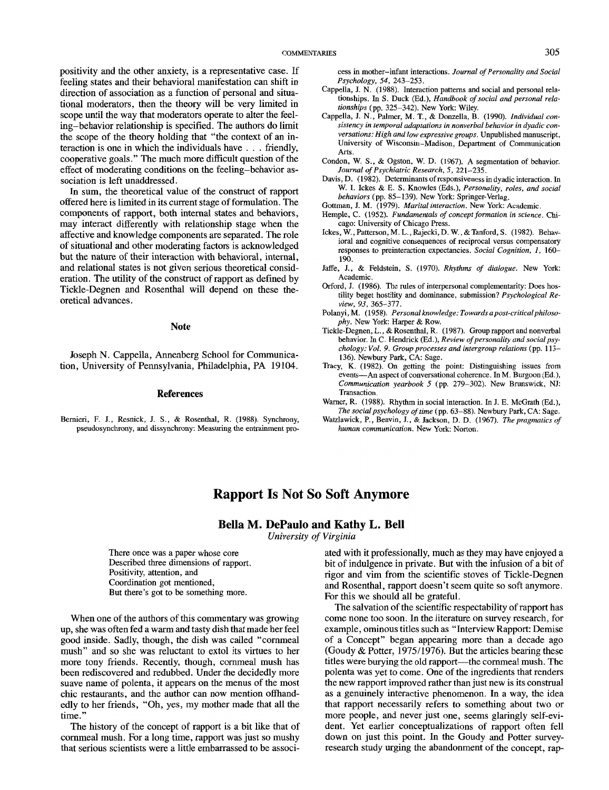positivity and the other anxiety, is a representative case. If feeling states and their behavioral manifestation can shift in direction of association as a function of personal and situational moderators, then the theory will be very limited in scope until the way that moderators operate to alter the feeling-behavior relationship is specified. The authors do limit the scope of the theory holding that "the context of an interaction is one in which the individuals have . . . friendly, cooperative goals." The much more difficult question of the effect of moderating conditions on the feeling-behavior association is left unaddressed.

In sum, the theoretical value of the construct of rapport offered here is limited in its current stage of formulation. The components of rapport, both internal states and behaviors, may interact differently with relationship stage when the affective and knowledge components are separated. The role of situational and other moderating factors is acknowledged but the nature of their interaction with behavioral, internal, and relational states is not given serious theoretical consideration. The utility of the construct of rapport as defined by Tickle-Degnen and Rosenthal will depend on these theoretical advances.

#### Note

Joseph N. Cappella, Annenberg School for Communication, University of Pennsylvania, Philadelphia, PA 19104.

#### References

Bemieri, F. J., Resnick, J. S., & Rosenthal, R. (1988). Synchrony, pseudosynchrony, and dissynchrony: Measuring the entrainment pro-

cess in mother-infant interactions. *Journal of Personality and Social Psychology,* 54, 243-253.

- Cappella, J. N. (1988). Interaction patterns and social and personal relationships. In S. Duck (Ed.), *Handbook of social and personal relationships* (pp. 325-342). New York: Wiley.
- Cappella, J. N., Palmer, M. T., & Donzella, B. (1990). *Individual consistency in temporal adaptations in nonverbal behavior in dyadic conversations: High and low expressive groups.* Unpublished manuscript, University of Wisconsin-Madison, Department of Communication Arts.
- Condon, W. S., & Ogston, W. D. (1967). A segmentation of behavior. *Journal ofPsychiatric Research,* 5, 221-235\_
- Davis, D. (1982). Determinants ofresponsiveness in dyadic interaction. In W. I. Ickes & E. S. Knowles (Eds.), *Personality, roles, and social behaviors* (pp. 85-139). New York: Springer-Verlag.
- Gottman, J. M. (1979). *Marital interaction.* New York: Academic.
- Hemple, C. (1952). *Fundamentals of concept formation in science.* Chicago: University of Chicago Press.
- Ickes, w., Patterson, M. L., Rajecki, D. w., & Tanford, S. (1982). Behavioral and cognitive consequences of reciprocal versus compensatory responses to preinteraction expectancies. *Social Cognition, I, 160-* 190.
- Jaffe, J., & Feldstein, S. (1970). *Rhythms of dialogue.* New York: Academic.
- Orford, J. (1986). The rules of interpersonal complementarity: Does hostility beget hostility and dominance, submission? *Psychological Review,* 93, 365-377.
- Polanyi, M. (1958). *Personal knowledge: Towards a post-criticalphilosophy.* New York: Harper & Row.
- Tickle-Degnen, L., & Rosenthal, R. (1987). Group rapport and nonverbal behavior. In C. Hendrick (Ed.), *Review of personality and social psychology: Vol.* 9. *Group processes and intergroup relations* (pp. 113- 136). Newbury Park, CA: Sage.
- Tracy, K. (1982). On getting the point: Distinguishing issues from events-An aspect of conversational coherence. In M. Burgoon (Ed.), *Communication yearbook* 5 (pp. 279-302). New Brunswick, NJ: **Transaction**
- Warner, R. (1988). Rhythm in social interaction. In J. E. McGrath (Ed.), *The social psychology oftime* (pp. 63-88). Newbury Park, CA: Sage.
- Watzlawick, P., Beavin, J., & Jackson, D. D. (1967). *The pragmatics of human communication.* New York: Norton.

## **Rapport Is Not So Soft Anymore**

#### **Bella M. DePaulo and Kathy L. Bell**

*University of Virginia*

There once was a paper whose core Described three dimensions of rapport. Positivity, attention, and Coordination got mentioned, But there's got to be something more.

When one of the authors of this commentary was growing up, she was often fed a warm and tasty dish that made her feel good inside. Sadly, though, the dish was called "cornmeal mush" and so she was reluctant to extol its virtues to her more tony friends. Recently, though, cornmeal mush has been rediscovered and redubbed. Under the decidedly more suave name of polenta, it appears on the menus of the most chic restaurants, and the author can now mention offhandedly to her friends, "Oh, yes, my mother made that all the time."

The history of the concept of rapport is a bit like that of cornmeal mush. For a long time, rapport was just so mushy that serious scientists were a little embarrassed to be associated with it professionally, much as they may have enjoyed a bit of indulgence in private. But with the infusion of a bit of rigor and vim from the scientific stoves of Tickle-Degnen and Rosenthal, rapport doesn't seem quite so soft anymore. For this we should all be grateful.

The salvation of the scientific respectability of rapport has come none too soon. In the literature on survey research, for example, ominous titles such as "Interview Rapport: Demise of a Concept" began appearing more than a decade ago (Goudy & Potter, 1975/1976). But the articles bearing these titles were burying the old rapport—the cornmeal mush. The polenta was yet to come. One of the ingredients that renders the new rapport improved rather than just new is its construal as a genuinely interactive phenomenon. In a way, the idea that rapport necessarily refers to something about two or more people, and never just one, seems glaringly self-evident. Yet earlier conceptualizations of rapport often fell down on just this point. In the Goudy and Potter surveyresearch study urging the abandonment of the concept, rap